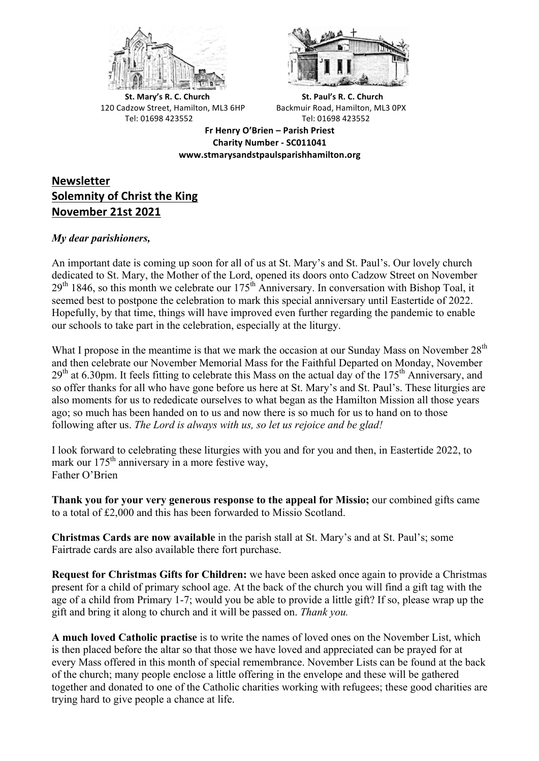



**St.** Mary's R. C. Church St. Paul's R. C. Church 120 Cadzow Street, Hamilton, ML3 6HP Backmuir Road, Hamilton, ML3 0PX Tel: 01698 423552 Tel: 01698 423552

**Fr Henry O'Brien – Parish Priest Charity Number - SC011041 www.stmarysandstpaulsparishhamilton.org**

# **Newsletter Solemnity of Christ the King November 21st 2021**

# *My dear parishioners,*

An important date is coming up soon for all of us at St. Mary's and St. Paul's. Our lovely church dedicated to St. Mary, the Mother of the Lord, opened its doors onto Cadzow Street on November  $29<sup>th</sup> 1846$ , so this month we celebrate our  $175<sup>th</sup>$  Anniversary. In conversation with Bishop Toal, it seemed best to postpone the celebration to mark this special anniversary until Eastertide of 2022. Hopefully, by that time, things will have improved even further regarding the pandemic to enable our schools to take part in the celebration, especially at the liturgy.

What I propose in the meantime is that we mark the occasion at our Sunday Mass on November  $28<sup>th</sup>$ and then celebrate our November Memorial Mass for the Faithful Departed on Monday, November  $29<sup>th</sup>$  at 6.30pm. It feels fitting to celebrate this Mass on the actual day of the 175<sup>th</sup> Anniversary, and so offer thanks for all who have gone before us here at St. Mary's and St. Paul's. These liturgies are also moments for us to rededicate ourselves to what began as the Hamilton Mission all those years ago; so much has been handed on to us and now there is so much for us to hand on to those following after us. *The Lord is always with us, so let us rejoice and be glad!*

I look forward to celebrating these liturgies with you and for you and then, in Eastertide 2022, to mark our  $175<sup>th</sup>$  anniversary in a more festive way, Father O'Brien

**Thank you for your very generous response to the appeal for Missio;** our combined gifts came to a total of £2,000 and this has been forwarded to Missio Scotland.

**Christmas Cards are now available** in the parish stall at St. Mary's and at St. Paul's; some Fairtrade cards are also available there fort purchase.

**Request for Christmas Gifts for Children:** we have been asked once again to provide a Christmas present for a child of primary school age. At the back of the church you will find a gift tag with the age of a child from Primary 1-7; would you be able to provide a little gift? If so, please wrap up the gift and bring it along to church and it will be passed on. *Thank you.*

**A much loved Catholic practise** is to write the names of loved ones on the November List, which is then placed before the altar so that those we have loved and appreciated can be prayed for at every Mass offered in this month of special remembrance. November Lists can be found at the back of the church; many people enclose a little offering in the envelope and these will be gathered together and donated to one of the Catholic charities working with refugees; these good charities are trying hard to give people a chance at life.